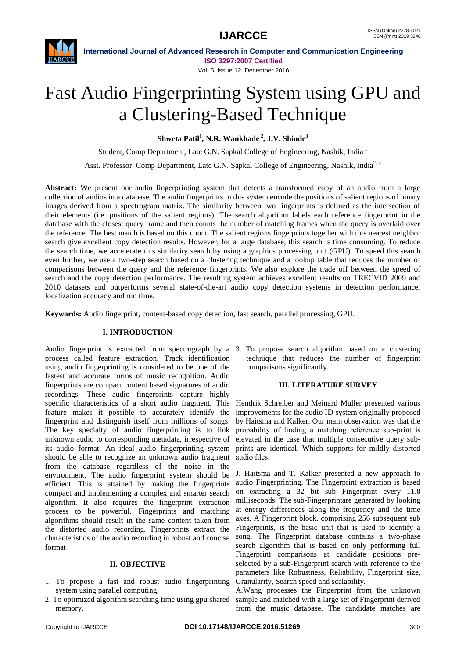

**International Journal of Advanced Research in Computer and Communication Engineering ISO 3297:2007 Certified** Vol. 5, Issue 12, December 2016

# Fast Audio Fingerprinting System using GPU and a Clustering-Based Technique

**Shweta Patil<sup>1</sup> , N.R. Wankhade <sup>2</sup> , J.V. Shinde<sup>3</sup>**

Student, Comp Department, Late G.N. Sapkal College of Engineering, Nashik, India <sup>1</sup>

Asst. Professor, Comp Department, Late G.N. Sapkal College of Engineering, Nashik, India<sup>2, 3</sup>

Abstract: We present our audio fingerprinting system that detects a transformed copy of an audio from a large collection of audios in a database. The audio fingerprints in this system encode the positions of salient regions of binary images derived from a spectrogram matrix. The similarity between two fingerprints is defined as the intersection of their elements (i.e. positions of the salient regions). The search algorithm labels each reference fingerprint in the database with the closest query frame and then counts the number of matching frames when the query is overlaid over the reference. The best match is based on this count. The salient regions fingerprints together with this nearest neighbor search give excellent copy detection results. However, for a large database, this search is time consuming. To reduce the search time, we accelerate this similarity search by using a graphics processing unit (GPU). To speed this search even further, we use a two-step search based on a clustering technique and a lookup table that reduces the number of comparisons between the query and the reference fingerprints. We also explore the trade off between the speed of search and the copy detection performance. The resulting system achieves excellent results on TRECVID 2009 and 2010 datasets and outperforms several state-of-the-art audio copy detection systems in detection performance, localization accuracy and run time.

**Keywords:** Audio fingerprint, content-based copy detection, fast search, parallel processing, GPU.

# **I. INTRODUCTION**

Audio fingerprint is extracted from spectrograph by a 3. To propose search algorithm based on a clustering process called feature extraction. Track identification using audio fingerprinting is considered to be one of the fastest and accurate forms of music recognition. Audio fingerprints are compact content based signatures of audio recordings. These audio fingerprints capture highly specific characteristics of a short audio fragment. This feature makes it possible to accurately identify the fingerprint and distinguish itself from millions of songs. The key specialty of audio fingerprinting is to link unknown audio to corresponding metadata, irrespective of its audio format. An ideal audio fingerprinting system should be able to recognize an unknown audio fragment from the database regardless of the noise in the environment. The audio fingerprint system should be efficient. This is attained by making the fingerprints compact and implementing a complex and smarter search algorithm. It also requires the fingerprint extraction process to be powerful. Fingerprints and matching algorithms should result in the same content taken from the distorted audio recording. Fingerprints extract the characteristics of the audio recording in robust and concise format

## **II. OBJECTIVE**

- 1. To propose a fast and robust audio fingerprinting system using parallel computing.
- 2. To optimized algorithm searching time using gpu shared memory.

technique that reduces the number of fingerprint comparisons significantly.

# **III. LITERATURE SURVEY**

Hendrik Schreiber and Meinard Muller presented various improvements for the audio ID system originally proposed by Haitsma and Kalker. Our main observation was that the probability of finding a matching reference sub-print is elevated in the case that multiple consecutive query subprints are identical. Which supports for mildly distorted audio files.

J. Haitsma and T. Kalker presented a new approach to audio Fingerprinting. The Fingerprint extraction is based on extracting a 32 bit sub Fingerprint every 11.8 milliseconds. The sub-Fingerprintare generated by looking at energy differences along the frequency and the time axes. A Fingerprint block, comprising 256 subsequent sub Fingerprints, is the basic unit that is used to identify a song. The Fingerprint database contains a two-phase search algorithm that is based on only performing full Fingerprint comparisons at candidate positions preselected by a sub-Fingerprint search with reference to the parameters like Robustness, Reliability, Fingerprint size, Granularity, Search speed and scalability.

A.Wang processes the Fingerprint from the unknown sample and matched with a large set of Fingerprint derived from the music database. The candidate matches are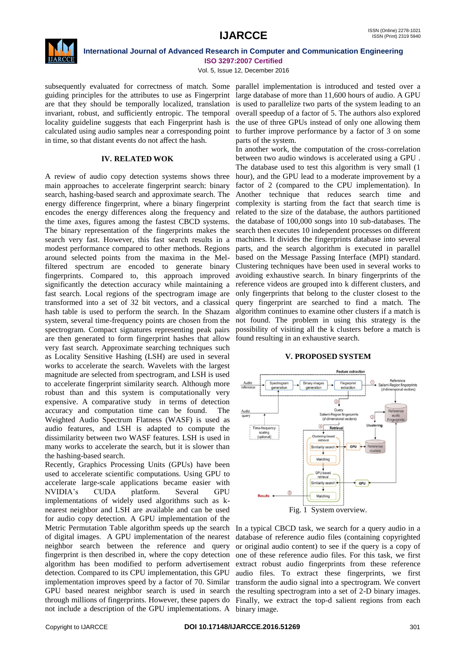

**International Journal of Advanced Research in Computer and Communication Engineering ISO 3297:2007 Certified**

Vol. 5, Issue 12, December 2016

subsequently evaluated for correctness of match. Some parallel implementation is introduced and tested over a guiding principles for the attributes to use as Fingerprint large database of more than 11,600 hours of audio. A GPU are that they should be temporally localized, translation is used to parallelize two parts of the system leading to an invariant, robust, and sufficiently entropic. The temporal locality guideline suggests that each Fingerprint hash is calculated using audio samples near a corresponding point in time, so that distant events do not affect the hash.

### **IV. RELATED WOK**

A review of audio copy detection systems shows three main approaches to accelerate fingerprint search: binary search, hashing-based search and approximate search. The Another technique that reduces search time and energy difference fingerprint, where a binary fingerprint complexity is starting from the fact that search time is encodes the energy differences along the frequency and the time axes, figures among the fastest CBCD systems. The binary representation of the fingerprints makes the search very fast. However, this fast search results in a modest performance compared to other methods. Regions around selected points from the maxima in the Melfiltered spectrum are encoded to generate binary fingerprints. Compared to, this approach improved significantly the detection accuracy while maintaining a fast search. Local regions of the spectrogram image are transformed into a set of 32 bit vectors, and a classical hash table is used to perform the search. In the Shazam system, several time-frequency points are chosen from the spectrogram. Compact signatures representing peak pairs are then generated to form fingerprint hashes that allow very fast search. Approximate searching techniques such as Locality Sensitive Hashing (LSH) are used in several works to accelerate the search. Wavelets with the largest magnitude are selected from spectrogram, and LSH is used to accelerate fingerprint similarity search. Although more robust than and this system is computationally very expensive. A comparative study in terms of detection accuracy and computation time can be found. The Weighted Audio Spectrum Flatness (WASF) is used as audio features, and LSH is adapted to compute the dissimilarity between two WASF features. LSH is used in many works to accelerate the search, but it is slower than the hashing-based search.

Recently, Graphics Processing Units (GPUs) have been used to accelerate scientific computations. Using GPU to accelerate large-scale applications became easier with NVIDIA"s CUDA platform. Several GPU implementations of widely used algorithms such as knearest neighbor and LSH are available and can be used for audio copy detection. A GPU implementation of the neighbor search between the reference and query algorithm has been modified to perform advertisement detection. Compared to its CPU implementation, this GPU GPU based nearest neighbor search is used in search the resulting spectrogram into a set of 2-D binary images. not include a description of the GPU implementations. A binary image.

overall speedup of a factor of 5. The authors also explored the use of three GPUs instead of only one allowing them to further improve performance by a factor of 3 on some parts of the system.

In another work, the computation of the cross-correlation between two audio windows is accelerated using a GPU . The database used to test this algorithm is very small (1 hour), and the GPU lead to a moderate improvement by a factor of 2 (compared to the CPU implementation). In related to the size of the database, the authors partitioned the database of 100,000 songs into 10 sub-databases. The search then executes 10 independent processes on different machines. It divides the fingerprints database into several parts, and the search algorithm is executed in parallel based on the Message Passing Interface (MPI) standard. Clustering techniques have been used in several works to avoiding exhaustive search. In binary fingerprints of the reference videos are grouped into k different clusters, and only fingerprints that belong to the cluster closest to the query fingerprint are searched to find a match. The algorithm continues to examine other clusters if a match is not found. The problem in using this strategy is the possibility of visiting all the k clusters before a match is found resulting in an exhaustive search.

# **V. PROPOSED SYSTEM**



Metric Permutation Table algorithm speeds up the search In a typical CBCD task, we search for a query audio in a of digital images. A GPU implementation of the nearest database of reference audio files (containing copyrighted fingerprint is then described in, where the copy detection one of these reference audio files. For this task, we first implementation improves speed by a factor of 70. Similar transform the audio signal into a spectrogram. We convert through millions of fingerprints. However, these papers do Finally, we extract the top-d salient regions from each or original audio content) to see if the query is a copy of extract robust audio fingerprints from these reference audio files. To extract these fingerprints, we first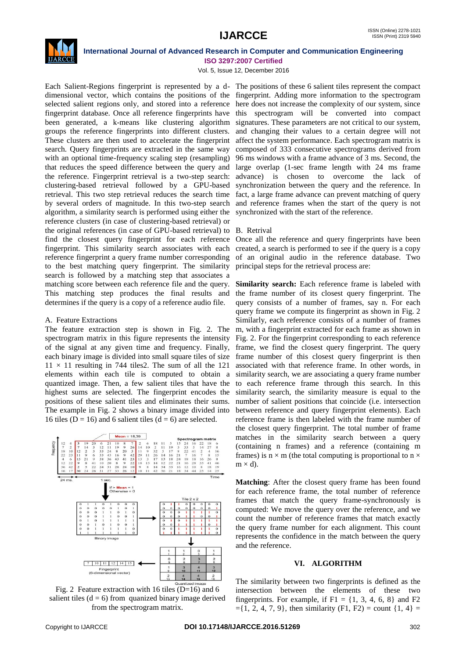

# **International Journal of Advanced Research in Computer and Communication Engineering ISO 3297:2007 Certified**

Vol. 5, Issue 12, December 2016

Each Salient-Regions fingerprint is represented by a d-The positions of these 6 salient tiles represent the compact dimensional vector, which contains the positions of the fingerprint. Adding more information to the spectrogram selected salient regions only, and stored into a reference here does not increase the complexity of our system, since fingerprint database. Once all reference fingerprints have this spectrogram will be converted into compact been generated, a k-means like clustering algorithm groups the reference fingerprints into different clusters. These clusters are then used to accelerate the fingerprint search. Query fingerprints are extracted in the same way with an optional time-frequency scaling step (resampling) that reduces the speed difference between the query and the reference. Fingerprint retrieval is a two-step search: clustering-based retrieval followed by a GPU-based retrieval. This two step retrieval reduces the search time fact, a large frame advance can prevent matching of query by several orders of magnitude. In this two-step search and reference frames when the start of the query is not algorithm, a similarity search is performed using either the synchronized with the start of the reference. reference clusters (in case of clustering-based retrieval) or the original references (in case of GPU-based retrieval) to B. Retrival find the closest query fingerprint for each reference Once all the reference and query fingerprints have been fingerprint. This similarity search associates with each reference fingerprint a query frame number corresponding to the best matching query fingerprint. The similarity search is followed by a matching step that associates a matching score between each reference file and the query. This matching step produces the final results and determines if the query is a copy of a reference audio file.

# A. Feature Extractions

The feature extraction step is shown in Fig. 2. The spectrogram matrix in this figure represents the intensity of the signal at any given time and frequency. Finally, each binary image is divided into small square tiles of size  $11 \times 11$  resulting in 744 tiles2. The sum of all the 121 elements within each tile is computed to obtain a quantized image. Then, a few salient tiles that have the highest sums are selected. The fingerprint encodes the positions of these salient tiles and eliminates their sums. The example in Fig. 2 shows a binary image divided into 16 tiles ( $D = 16$ ) and 6 salient tiles ( $d = 6$ ) are selected.



Fig. 2 Feature extraction with 16 tiles ( $D=16$ ) and 6 salient tiles  $(d = 6)$  from quanized binary image derived from the spectrogram matrix.

signatures. These parameters are not critical to our system, and changing their values to a certain degree will not affect the system performance. Each spectrogram matrix is composed of 333 consecutive spectrograms derived from 96 ms windows with a frame advance of 3 ms. Second, the large overlap (1-sec frame length with 24 ms frame advance) is chosen to overcome the lack of synchronization between the query and the reference. In

created, a search is performed to see if the query is a copy of an original audio in the reference database. Two principal steps for the retrieval process are:

**Similarity search:** Each reference frame is labeled with the frame number of its closest query fingerprint. The query consists of a number of frames, say n. For each query frame we compute its fingerprint as shown in Fig. 2 Similarly, each reference consists of a number of frames m, with a fingerprint extracted for each frame as shown in Fig. 2. For the fingerprint corresponding to each reference frame, we find the closest query fingerprint. The query frame number of this closest query fingerprint is then associated with that reference frame. In other words, in similarity search, we are associating a query frame number to each reference frame through this search. In this similarity search, the similarity measure is equal to the number of salient positions that coincide (i.e. intersection between reference and query fingerprint elements). Each reference frame is then labeled with the frame number of the closest query fingerprint. The total number of frame matches in the similarity search between a query (containing n frames) and a reference (containing m frames) is  $n \times m$  (the total computing is proportional to  $n \times$  $m \times d$ ).

**Matching**: After the closest query frame has been found for each reference frame, the total number of reference frames that match the query frame-synchronously is computed: We move the query over the reference, and we count the number of reference frames that match exactly the query frame number for each alignment. This count represents the confidence in the match between the query and the reference.

## **VI. ALGORITHM**

The similarity between two fingerprints is defined as the intersection between the elements of these two fingerprints. For example, if  $F1 = \{1, 3, 4, 6, 8\}$  and  $F2$  $=\{1, 2, 4, 7, 9\}$ , then similarity (F1, F2) = count  $\{1, 4\}$  =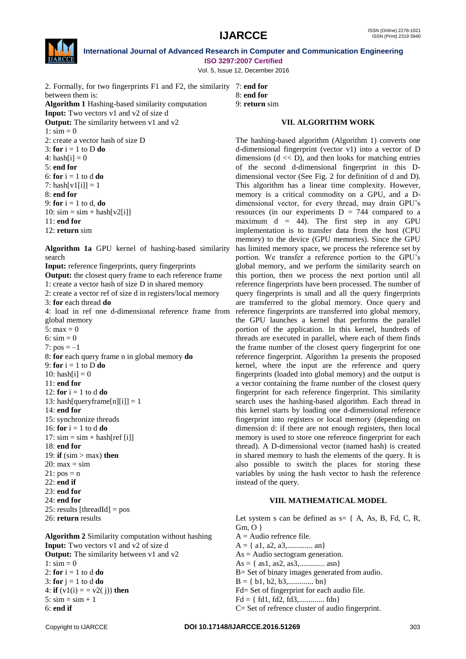

1:  $\sin = 0$ 

 $4: hash[i] = 0$ 5: **end for**

8: **end for**

11: **end for**

search

5:  $max = 0$ 6:  $\sin = 0$ 7:  $pos = -1$ 

11: **end for**

14: **end for**

**International Journal of Advanced Research in Computer and Communication Engineering ISO 3297:2007 Certified**

Vol. 5, Issue 12, December 2016

2. Formally, for two fingerprints F1 and F2, the similarity 7: **end for** between them is: **Algorithm 1** Hashing-based similarity computation

**Input:** Two vectors v1 and v2 of size d **Output:** The similarity between v1 and v2

2: create a vector hash of size D

8: **end for** 9: **return** sim

# **VII. ALGORITHM WORK**

The hashing-based algorithm (Algorithm 1) converts one

3: **for**  $i = 1$  to  $D$  **do** 6: **for** i = 1 to d **do** 7: hash $[v1[i]] = 1$ 9: **for** i = 1 to d, **do** 10:  $\sin = \sin + \text{hash}[v2[i]]$ 12: **return** sim **Algorithm 1a** GPU kernel of hashing-based similarity **Input:** reference fingerprints, query fingerprints **Output:** the closest query frame to each reference frame 1: create a vector hash of size D in shared memory 2: create a vector ref of size d in registers/local memory 3: **for** each thread **do** 4: load in ref one d-dimensional reference frame from global memory 8: **for** each query frame n in global memory **do** 9: **for**  $i = 1$  to  $D$  **do** 10: hash $[i] = 0$ 12: **for**  $i = 1$  to  $d$  **do** 13: hash[queryframe[n][i]] = 1 15: synchronize threads 16: **for**  $i = 1$  to  $d$  **do** 17:  $\sin = \sin + \text{hash}[\text{ref}[i]]$ 19: **if** (sim > max) **then** d-dimensional fingerprint (vector v1) into a vector of D

- 18: **end for**  $20: max = sim$
- $21: pos = n$
- 22: **end if**
- 23: **end for**
- 24: **end for**
- 25: results [threadId] = pos
- 26: **return** results

**Algorithm 2** Similarity computation without hashing **Input:** Two vectors v1 and v2 of size d **Output:** The similarity between v1 and v2 1:  $\sin = 0$ 2: **for**  $i = 1$  to  $d$  **do** 3: **for**  $j = 1$  to  $d$  **do** 4: **if**  $(v1(i) = v2(j))$  **then**  $5: \text{sim} = \text{sim} + 1$ 

6: **end if**

dimensions  $(d \ll D)$ , and then looks for matching entries of the second d-dimensional fingerprint in this Ddimensional vector (See Fig. 2 for definition of d and D). This algorithm has a linear time complexity. However, memory is a critical commodity on a GPU, and a Ddimensional vector, for every thread, may drain GPU"s resources (in our experiments  $D = 744$  compared to a maximum  $d = 44$ ). The first step in any GPU implementation is to transfer data from the host (CPU memory) to the device (GPU memories). Since the GPU has limited memory space, we process the reference set by portion. We transfer a reference portion to the GPU"s global memory, and we perform the similarity search on this portion, then we process the next portion until all reference fingerprints have been processed. The number of query fingerprints is small and all the query fingerprints are transferred to the global memory. Once query and reference fingerprints are transferred into global memory, the GPU launches a kernel that performs the parallel portion of the application. In this kernel, hundreds of threads are executed in parallel, where each of them finds the frame number of the closest query fingerprint for one reference fingerprint. Algorithm 1a presents the proposed kernel, where the input are the reference and query fingerprints (loaded into global memory) and the output is a vector containing the frame number of the closest query fingerprint for each reference fingerprint. This similarity search uses the hashing-based algorithm. Each thread in this kernel starts by loading one d-dimensional reference fingerprint into registers or local memory (depending on dimension d: if there are not enough registers, then local memory is used to store one reference fingerprint for each thread). A D-dimensional vector (named hash) is created in shared memory to hash the elements of the query. It is also possible to switch the places for storing these variables by using the hash vector to hash the reference instead of the query.

# **VIII. MATHEMATICAL MODEL**

Let system s can be defined as  $s = \{ A, As, B, Fd, C, R, \}$ Gm, O }  $A =$  Audio refrence file.  $A = \{ a1, a2, a3, \dots, an \}$ As = Audio sectogram generation.  $As = \{ as1, as2, as3,............ asn\}$ B= Set of binary images generated from audio.

 $B = \{ b1, b2, b3, \dots, bn \}$ 

- Fd= Set of fingerprint for each audio file.
- Fd = { fd1, fd2, fd3,............. fdn}
- C= Set of refrence cluster of audio fingerprint.